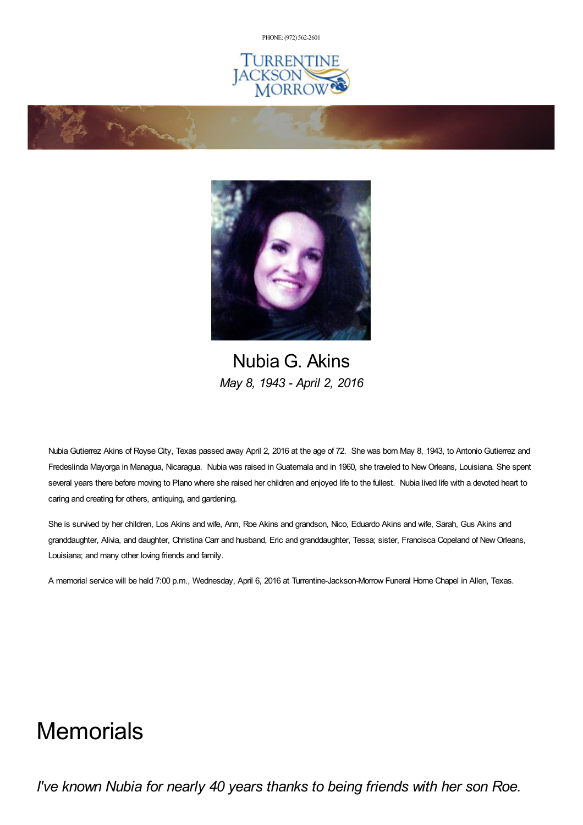PHONE: (972) [562-2601](tel:(972) 562-2601)







Nubia G. Akins *May 8, 1943 - April 2, 2016*

Nubia Gutierrez Akins of Royse City, Texas passed away April 2, 2016 at the age of 72. She was born May 8, 1943, to Antonio Gutierrez and Fredeslinda Mayorga in Managua, Nicaragua. Nubia was raised in Guatemala and in 1960, she traveled to NewOrleans, Louisiana. She spent several years there before moving to Plano where she raised her children and enjoyed life to the fullest. Nubia lived life with a devoted heart to caring and creating for others, antiquing, and gardening.

She is survived by her children, Los Akins and wife, Ann, Roe Akins and grandson, Nico, Eduardo Akins and wife, Sarah, Gus Akins and granddaughter, Alivia, and daughter, Christina Carr and husband, Eric and granddaughter, Tessa; sister, Francisca Copeland of NewOrleans, Louisiana; and many other loving friends and family.

A memorial service will be held 7:00 p.m., Wednesday, April 6, 2016 at Turrentine-Jackson-Morrow Funeral Home Chapel in Allen, Texas.

# **Memorials**

*I've known Nubia for nearly 40 years thanks to being friends with her son Roe.*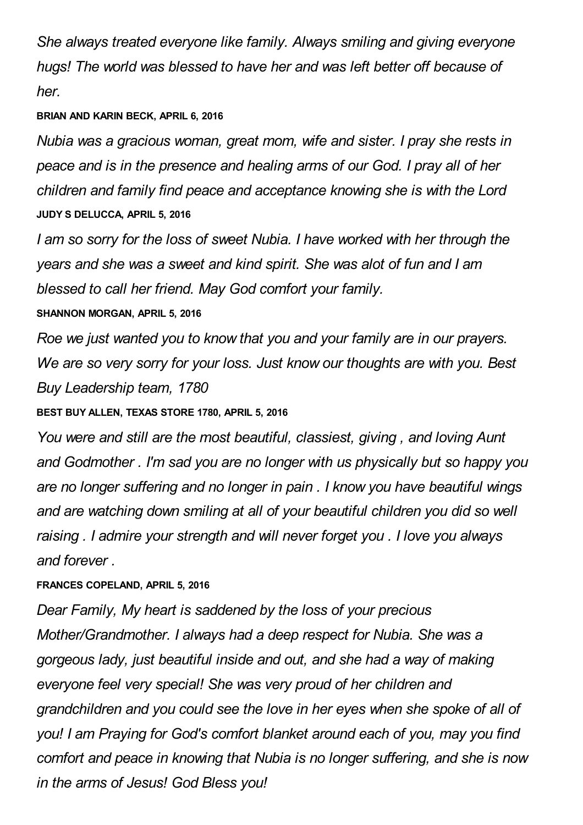*She always treated everyone like family. Always smiling and giving everyone hugs! The world was blessed to have her and was left better off because of her.*

#### **BRIAN AND KARIN BECK, APRIL 6, 2016**

*Nubia was a gracious woman, great mom, wife and sister. I pray she rests in peace and is in the presence and healing arms of our God. I pray all of her children and family find peace and acceptance knowing she is with the Lord* **JUDY S DELUCCA, APRIL 5, 2016**

*I am so sorry for the loss of sweet Nubia. I have worked with her through the years and she was a sweet and kind spirit. She was alot of fun and I am blessed to call her friend. May God comfort your family.*

### **SHANNON MORGAN, APRIL 5, 2016**

*Roe we just wanted you to know that you and your family are in our prayers. We are so very sorry for your loss. Just know our thoughts are with you. Best Buy Leadership team, 1780*

**BEST BUY ALLEN, TEXAS STORE 1780, APRIL 5, 2016**

*You were and still are the most beautiful, classiest, giving , and loving Aunt and Godmother . I'm sad you are no longer with us physically but so happy you are no longer suffering and no longer in pain . I know you have beautiful wings and are watching down smiling at all of your beautiful children you did so well raising . I admire your strength and will never forget you . I love you always and forever .*

## **FRANCES COPELAND, APRIL 5, 2016**

*Dear Family, My heart is saddened by the loss of your precious Mother/Grandmother. I always had a deep respect for Nubia. She was a gorgeous lady, just beautiful inside and out, and she had a way of making everyone feel very special! She was very proud of her children and grandchildren and you could see the love in her eyes when she spoke of all of you! I am Praying for God's comfort blanket around each of you, may you find comfort and peace in knowing that Nubia is no longer suffering, and she is now in the arms of Jesus! God Bless you!*